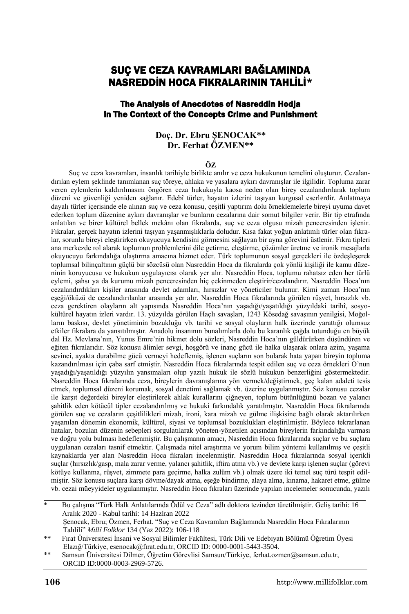# SUÇ VE CEZA KAVRAMLARI BAĞLAMINDA NASREDDİN HOCA FIKRALARININ TAHLİLİ\*

#### The Analysis of Anecdotes of Nasreddin Hodja in The Context of the Concepts Crime and Punishment

#### **Doç. Dr. Ebru ŞENOCAK\*\* Dr. Ferhat ÖZMEN\*\***

#### **ÖZ**

Suç ve ceza kavramları, insanlık tarihiyle birlikte anılır ve ceza hukukunun temelini oluşturur. Cezalandırılan eylem şeklinde tanımlanan suç töreye, ahlaka ve yasalara aykırı davranışlar ile ilgilidir. Topluma zarar veren eylemlerin kaldırılmasını öngören ceza hukukuyla kaosa neden olan birey cezalandırılarak toplum düzeni ve güvenliği yeniden sağlanır. Edebî türler, hayatın izlerini taşıyan kurgusal eserlerdir. Anlatmaya dayalı türler içerisinde ele alınan suç ve ceza konusu, çeşitli yaptırım dolu örneklemelerle bireyi uyuma davet ederken toplum düzenine aykırı davranışlar ve bunların cezalarına dair somut bilgiler verir. Bir tip etrafında anlatılan ve birer kültürel bellek mekânı olan fıkralarda, suç ve ceza olgusu mizah penceresinden işlenir. Fıkralar, gerçek hayatın izlerini taşıyan yaşanmışlıklarla doludur. Kısa fakat yoğun anlatımlı türler olan fıkralar, sorunlu bireyi eleştirirken okuyucuya kendisini görmesini sağlayan bir ayna görevini üstlenir. Fıkra tipleri ana merkezde rol alarak toplumun problemlerini dile getirme, eleştirme, çözümler üretme ve ironik mesajlarla okuyucuyu farkındalığa ulaştırma amacına hizmet eder. Türk toplumunun sosyal gerçekleri ile özdeşleşerek toplumsal bilinçaltının güçlü bir sözcüsü olan Nasreddin Hoca da fıkralarda çok yönlü kişiliği ile kamu düzeninin koruyucusu ve hukukun uygulayıcısı olarak yer alır. Nasreddin Hoca, toplumu rahatsız eden her türlü eylemi, şahsı ya da kurumu mizah penceresinden hiç çekinmeden eleştirir/cezalandırır. Nasreddin Hoca'nın cezalandırdıkları kişiler arasında devlet adamları, hırsızlar ve yöneticiler bulunur. Kimi zaman Hoca'nın eşeği/öküzü de cezalandırılanlar arasında yer alır. Nasreddin Hoca fıkralarında görülen rüşvet, hırsızlık vb. ceza gerektiren olayların alt yapısında Nasreddin Hoca'nın yaşadığı/yaşatıldığı yüzyıldaki tarihî, sosyokültürel hayatın izleri vardır. 13. yüzyılda görülen Haçlı savaşları, 1243 Kösedağ savaşının yenilgisi, Moğolların baskısı, devlet yönetiminin bozukluğu vb. tarihi ve sosyal olayların halk üzerinde yarattığı olumsuz etkiler fıkralara da yansıtılmıştır. Anadolu insanının bunalımlarla dolu bu karanlık çağda tutunduğu en büyük dal Hz. Mevlana'nın, Yunus Emre'nin hikmet dolu sözleri, Nasreddin Hoca'nın güldürürken düşündüren ve eğiten fıkralarıdır. Söz konusu âlimler sevgi, hoşgörü ve inanç gücü ile halka ulaşarak onlara azim, yaşama sevinci, ayakta durabilme gücü vermeyi hedeflemiş, işlenen suçların son bularak hata yapan bireyin topluma kazandırılması için çaba sarf etmiştir. Nasreddin Hoca fıkralarında tespit edilen suç ve ceza örnekleri O'nun yaşadığı/yaşatıldığı yüzyılın yansımaları olup yazılı hukuk ile sözlü hukukun benzerliğini göstermektedir. Nasreddin Hoca fıkralarında ceza, bireylerin davranışlarına yön vermek/değiştirmek, geç kalan adaleti tesis etmek, toplumsal düzeni korumak, sosyal denetimi sağlamak vb. üzerine uygulanmıştır. Söz konusu cezalar ile karşıt değerdeki bireyler eleştirilerek ahlak kurallarını çiğneyen, toplum bütünlüğünü bozan ve yalancı şahitlik eden kötücül tipler cezalandırılmış ve hukuki farkındalık yaratılmıştır. Nasreddin Hoca fıkralarında görülen suç ve cezaların çeşitlilikleri mizah, ironi, kara mizah ve gülme ilişkisine bağlı olarak aktarılırken yaşanılan dönemin ekonomik, kültürel, siyasi ve toplumsal bozuklukları eleştirilmiştir. Böylece tekrarlanan hatalar, bozulan düzenin sebepleri sorgulatılarak yöneten-yönetilen açısından bireylerin farkındalığa varması ve doğru yolu bulması hedeflenmiştir. Bu çalışmanın amacı, Nasreddin Hoca fıkralarında suçlar ve bu suçlara uygulanan cezaları tasnif etmektir. Çalışmada nitel araştırma ve yorum bilim yöntemi kullanılmış ve çeşitli kaynaklarda yer alan Nasreddin Hoca fıkraları incelenmiştir. Nasreddin Hoca fıkralarında sosyal içerikli suçlar (hırsızlık/gasp, mala zarar verme, yalancı şahitlik, iftira atma vb.) ve devlete karşı işlenen suçlar (görevi kötüye kullanma, rüşvet, zimmete para geçirme, halka zulüm vb.) olmak üzere iki temel suç türü tespit edilmiştir. Söz konusu suçlara karşı dövme/dayak atma, eşeğe bindirme, alaya alma, kınama, hakaret etme, gülme vb. cezai müeyyideler uygulanmıştır. Nasreddin Hoca fıkraları üzerinde yapılan incelemeler sonucunda, yazılı

\* Bu çalışma "Türk Halk Anlatılarında Ödül ve Ceza" adlı doktora tezinden türetilmiştir. Geliş tarihi: 16 Aralık 2020 - Kabul tarihi: 14 Haziran 2022 Şenocak, Ebru; Özmen, Ferhat. "Suç ve Ceza Kavramları Bağlamında Nasreddin Hoca Fıkralarının Tahlili" *Millî Folklor* 134 (Yaz 2022): 106-118

<sup>\*\*</sup> Fırat Üniversitesi İnsani ve Sosyal Bilimler Fakültesi, Türk Dili ve Edebiyatı Bölümü Öğretim Üyesi Elazığ/Türkiye, esenocak@fırat.edu.tr, ORCID ID: 0000-0001-5443-3504.

<sup>\*\*</sup> Samsun Üniversitesi Dilmer, Öğretim Görevlisi Samsun/Türkiye, ferhat.ozmen@samsun.edu.tr, ORCID ID:0000-0003-2969-5726.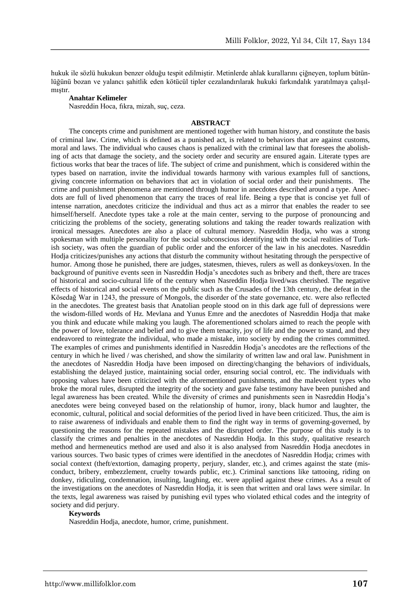hukuk ile sözlü hukukun benzer olduğu tespit edilmiştir. Metinlerde ahlak kurallarını çiğneyen, toplum bütünlüğünü bozan ve yalancı şahitlik eden kötücül tipler cezalandırılarak hukuki farkındalık yaratılmaya çalışılmıştır.

#### **Anahtar Kelimeler**

Nasreddin Hoca, fıkra, mizah, suç, ceza.

#### **ABSTRACT**

The concepts crime and punishment are mentioned together with human history, and constitute the basis of criminal law. Crime, which is defined as a punished act, is related to behaviors that are against customs, moral and laws. The individual who causes chaos is penalized with the criminal law that foresees the abolishing of acts that damage the society, and the society order and security are ensured again. Literate types are fictious works that bear the traces of life. The subject of crime and punishment, which is considered within the types based on narration, invite the individual towards harmony with various examples full of sanctions, giving concrete information on behaviors that act in violation of social order and their punishments. The crime and punishment phenomena are mentioned through humor in anecdotes described around a type. Anecdots are full of lived phenomenon that carry the traces of real life. Being a type that is concise yet full of intense narration, anecdotes criticize the individual and thus act as a mirror that enables the reader to see himself/herself. Anecdote types take a role at the main center, serving to the purpose of pronouncing and criticizing the problems of the society, generating solutions and taking the reader towards realization with ironical messages. Anecdotes are also a place of cultural memory. Nasreddin Hodja, who was a strong spokesman with multiple personality for the social subconscious identifying with the social realities of Turkish society, was often the guardian of public order and the enforcer of the law in his anecdotes. Nasreddin Hodja criticizes/punishes any actions that disturb the community without hesitating through the perspective of humor. Among those he punished, there are judges, statesmen, thieves, rulers as well as donkeys/oxen. In the background of punitive events seen in Nasreddin Hodja's anecdotes such as bribery and theft, there are traces of historical and socio-cultural life of the century when Nasreddin Hodja lived/was cherished. The negative effects of historical and social events on the public such as the Crusades of the 13th century, the defeat in the Kösedağ War in 1243, the pressure of Mongols, the disorder of the state governance, etc. were also reflected in the anecdotes. The greatest basis that Anatolian people stood on in this dark age full of depressions were the wisdom-filled words of Hz. Mevlana and Yunus Emre and the anecdotes of Nasreddin Hodja that make you think and educate while making you laugh. The aforementioned scholars aimed to reach the people with the power of love, tolerance and belief and to give them tenacity, joy of life and the power to stand, and they endeavored to reintegrate the individual, who made a mistake, into society by ending the crimes committed. The examples of crimes and punishments identified in Nasreddin Hodja's anecdotes are the reflections of the century in which he lived / was cherished, and show the similarity of written law and oral law. Punishment in the anecdotes of Nasreddin Hodja have been imposed on directing/changing the behaviors of individuals, establishing the delayed justice, maintaining social order, ensuring social control, etc. The individuals with opposing values have been criticized with the aforementioned punishments, and the malevolent types who broke the moral rules, disrupted the integrity of the society and gave false testimony have been punished and legal awareness has been created. While the diversity of crimes and punishments seen in Nasreddin Hodja's anecdotes were being conveyed based on the relationship of humor, irony, black humor and laughter, the economic, cultural, political and social deformities of the period lived in have been criticized. Thus, the aim is to raise awareness of individuals and enable them to find the right way in terms of governing-governed, by questioning the reasons for the repeated mistakes and the disrupted order. The purpose of this study is to classify the crimes and penalties in the anecdotes of Nasreddin Hodja. In this study, qualitative research method and hermeneutics method are used and also it is also analysed from Nasreddin Hodja anecdotes in various sources. Two basic types of crimes were identified in the anecdotes of Nasreddin Hodja; crimes with social context (theft/extortion, damaging property, perjury, slander, etc.), and crimes against the state (misconduct, bribery, embezzlement, cruelty towards public, etc.). Criminal sanctions like tattooing, riding on donkey, ridiculing, condemnation, insulting, laughing, etc. were applied against these crimes. As a result of the investigations on the anecdotes of Nasreddin Hodja, it is seen that written and oral laws were similar. In the texts, legal awareness was raised by punishing evil types who violated ethical codes and the integrity of society and did perjury.

#### **Keywords**

Nasreddin Hodja, anecdote, humor, crime, punishment.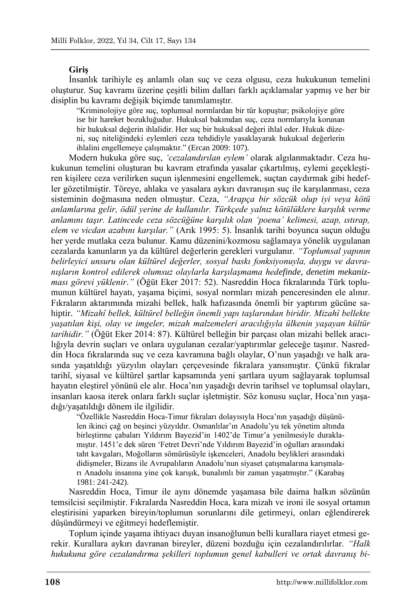#### **Giriş**

İnsanlık tarihiyle eş anlamlı olan suç ve ceza olgusu, ceza hukukunun temelini oluşturur. Suç kavramı üzerine çeşitli bilim dalları farklı açıklamalar yapmış ve her bir disiplin bu kavramı değişik biçimde tanımlamıştır.

"Kriminolojiye göre suç, toplumsal normlardan bir tür kopuştur; psikolojiye göre ise bir hareket bozukluğudur. Hukuksal bakımdan suç, ceza normlarıyla korunan bir hukuksal değerin ihlalidir. Her suç bir hukuksal değeri ihlal eder. Hukuk düzeni, suç niteliğindeki eylemleri ceza tehdidiyle yasaklayarak hukuksal değerlerin ihlalini engellemeye çalışmaktır." (Ercan 2009: 107).

Modern hukuka göre suç, *'cezalandırılan eylem'* olarak algılanmaktadır. Ceza hukukunun temelini oluşturan bu kavram etrafında yasalar çıkartılmış, eylemi geçekleştiren kişilere ceza verilirken suçun işlenmesini engellemek, suçtan caydırmak gibi hedefler gözetilmiştir. Töreye, ahlaka ve yasalara aykırı davranışın suç ile karşılanması, ceza sisteminin doğmasına neden olmuştur. Ceza, *"Arapça bir sözcük olup iyi veya kötü anlamlarına gelir, ödül yerine de kullanılır. Türkçede yalnız kötülüklere karşılık verme anlamını taşır. Latincede ceza sözcüğüne karşılık olan 'poena' kelimesi, azap, ıstırap, elem ve vicdan azabını karşılar."* (Arık 1995: 5). İnsanlık tarihi boyunca suçun olduğu her yerde mutlaka ceza bulunur. Kamu düzenini/kozmosu sağlamaya yönelik uygulanan cezalarda kanunların ya da kültürel değerlerin gerekleri vurgulanır. *"Toplumsal yapının belirleyici unsuru olan kültürel değerler, sosyal baskı fonksiyonuyla, duygu ve davranışların kontrol edilerek olumsuz olaylarla karşılaşmama hedefinde, denetim mekanizması görevi yüklenir*.*"* (Öğüt Eker 2017: 52). Nasreddin Hoca fıkralarında Türk toplumunun kültürel hayatı, yaşama biçimi, sosyal normları mizah penceresinden ele alınır. Fıkraların aktarımında mizahi bellek, halk hafızasında önemli bir yaptırım gücüne sahiptir. *"Mizahî bellek, kültürel belleğin önemli yapı taşlarından biridir. Mizahî bellekte yaşatılan kişi, olay ve imgeler, mizah malzemeleri aracılığıyla ülkenin yaşayan kültür tarihidir."* (Öğüt Eker 2014: 87). Kültürel belleğin bir parçası olan mizahi bellek aracılığıyla devrin suçları ve onlara uygulanan cezalar/yaptırımlar geleceğe taşınır. Nasreddin Hoca fıkralarında suç ve ceza kavramına bağlı olaylar, O'nun yaşadığı ve halk arasında yaşatıldığı yüzyılın olayları çerçevesinde fıkralara yansımıştır. Çünkü fıkralar tarihî, siyasal ve kültürel şartlar kapsamında yeni şartlara uyum sağlayarak toplumsal hayatın eleştirel yönünü ele alır. Hoca'nın yaşadığı devrin tarihsel ve toplumsal olayları, insanları kaosa iterek onlara farklı suçlar işletmiştir. Söz konusu suçlar, Hoca'nın yaşadığı/yaşatıldığı dönem ile ilgilidir.

"Özellikle Nasreddin Hoca-Timur fıkraları dolayısıyla Hoca'nın yaşadığı düşünülen ikinci çağ on beşinci yüzyıldır. Osmanlılar'ın Anadolu'yu tek yönetim altında birleştirme çabaları Yıldırım Bayezid'in 1402'de Timur'a yenilmesiyle duraklamıştır. 1451'e dek süren 'Fetret Devri'nde Yıldırım Bayezid'in oğulları arasındaki taht kavgaları, Moğolların sömürüsüyle işkenceleri, Anadolu beylikleri arasındaki didişmeler, Bizans ile Avrupalıların Anadolu'nun siyaset çatışmalarına karışmaları Anadolu insanına yine çok karışık, bunalımlı bir zaman yaşatmıştır." (Karabaş 1981: 241-242).

Nasreddin Hoca, Timur ile aynı dönemde yaşamasa bile daima halkın sözünün temsilcisi seçilmiştir. Fıkralarda Nasreddin Hoca, kara mizah ve ironi ile sosyal ortamın eleştirisini yaparken bireyin/toplumun sorunlarını dile getirmeyi, onları eğlendirerek düşündürmeyi ve eğitmeyi hedeflemiştir.

Toplum içinde yaşama ihtiyacı duyan insanoğlunun belli kurallara riayet etmesi gerekir. Kurallara aykırı davranan bireyler, düzeni bozduğu için cezalandırılırlar. *"Halk hukukuna göre cezalandırma şekilleri toplumun genel kabulleri ve ortak davranış bi-*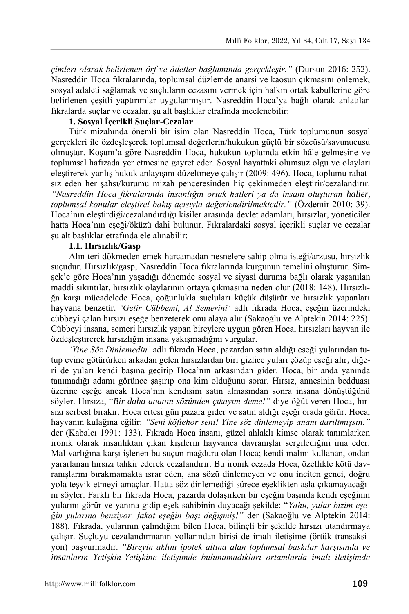*çimleri olarak belirlenen örf ve âdetler bağlamında gerçekleşir."* (Dursun 2016: 252). Nasreddin Hoca fıkralarında, toplumsal düzlemde anarşi ve kaosun çıkmasını önlemek, sosyal adaleti sağlamak ve suçluların cezasını vermek için halkın ortak kabullerine göre belirlenen çeşitli yaptırımlar uygulanmıştır. Nasreddin Hoca'ya bağlı olarak anlatılan fıkralarda suçlar ve cezalar, şu alt başlıklar etrafında incelenebilir:

### **1. Sosyal İçerikli Suçlar-Cezalar**

Türk mizahında önemli bir isim olan Nasreddin Hoca, Türk toplumunun sosyal gerçekleri ile özdeşleşerek toplumsal değerlerin/hukukun güçlü bir sözcüsü/savunucusu olmuştur. Koşum'a göre Nasreddin Hoca, hukukun toplumda etkin hâle gelmesine ve toplumsal hafızada yer etmesine gayret eder. Sosyal hayattaki olumsuz olgu ve olayları eleştirerek yanlış hukuk anlayışını düzeltmeye çalışır (2009: 496). Hoca, toplumu rahatsız eden her şahsı/kurumu mizah penceresinden hiç çekinmeden eleştirir/cezalandırır. *"Nasreddin Hoca fıkralarında insanlığın ortak halleri ya da insanı oluşturan haller, toplumsal konular eleştirel bakış açısıyla değerlendirilmektedir."* (Özdemir 2010: 39). Hoca'nın eleştirdiği/cezalandırdığı kişiler arasında devlet adamları, hırsızlar, yöneticiler hatta Hoca'nın eşeği/öküzü dahi bulunur. Fıkralardaki sosyal içerikli suçlar ve cezalar şu alt başlıklar etrafında ele alınabilir:

### **1.1. Hırsızlık/Gasp**

Alın teri dökmeden emek harcamadan nesnelere sahip olma isteği/arzusu, hırsızlık suçudur. Hırsızlık/gasp, Nasreddin Hoca fıkralarında kurgunun temelini oluşturur. Şimşek'e göre Hoca'nın yaşadığı dönemde sosyal ve siyasi duruma bağlı olarak yaşanılan maddi sıkıntılar, hırsızlık olaylarının ortaya çıkmasına neden olur (2018: 148). Hırsızlığa karşı mücadelede Hoca, çoğunlukla suçluları küçük düşürür ve hırsızlık yapanları hayvana benzetir. *'Getir Cübbemi, Al Semerini'* adlı fıkrada Hoca, eşeğin üzerindeki cübbeyi çalan hırsızı eşeğe benzeterek onu alaya alır (Sakaoğlu ve Alptekin 2014: 225). Cübbeyi insana, semeri hırsızlık yapan bireylere uygun gören Hoca, hırsızları hayvan ile özdeşleştirerek hırsızlığın insana yakışmadığını vurgular.

*'Yine Söz Dinlemedin'* adlı fıkrada Hoca, pazardan satın aldığı eşeği yularından tutup evine götürürken arkadan gelen hırsızlardan biri gizlice yuları çözüp eşeği alır, diğeri de yuları kendi başına geçirip Hoca'nın arkasından gider. Hoca, bir anda yanında tanımadığı adamı görünce şaşırıp ona kim olduğunu sorar. Hırsız, annesinin bedduası üzerine eşeğe ancak Hoca'nın kendisini satın almasından sonra insana dönüştüğünü söyler. Hırsıza, "*Bir daha ananın sözünden çıkayım deme!"* diye öğüt veren Hoca, hırsızı serbest bırakır*.* Hoca ertesi gün pazara gider ve satın aldığı eşeği orada görür. Hoca, hayvanın kulağına eğilir: *"Seni köftehor seni! Yine söz dinlemeyip ananı darıltmışsın."* der (Kabalcı 1991: 133). Fıkrada Hoca insanı, güzel ahlaklı kimse olarak tanımlarken ironik olarak insanlıktan çıkan kişilerin hayvanca davranışlar sergilediğini ima eder. Mal varlığına karşı işlenen bu suçun mağduru olan Hoca; kendi malını kullanan, ondan yararlanan hırsızı tahkir ederek cezalandırır. Bu ironik cezada Hoca, özellikle kötü davranışlarını bırakmamakta ısrar eden, ana sözü dinlemeyen ve onu inciten genci, doğru yola teşvik etmeyi amaçlar. Hatta söz dinlemediği sürece eşeklikten asla çıkamayacağını söyler. Farklı bir fıkrada Hoca, pazarda dolaşırken bir eşeğin başında kendi eşeğinin yularını görür ve yanına gidip eşek sahibinin duyacağı şekilde: "*Yahu, yular bizim eşeğin yularına benziyor, fakat eşeğin başı değişmiş!"* der (Sakaoğlu ve Alptekin 2014: 188). Fıkrada, yularının çalındığını bilen Hoca, bilinçli bir şekilde hırsızı utandırmaya çalışır. Suçluyu cezalandırmanın yollarından birisi de imalı iletişime (örtük transaksiyon) başvurmadır. *"Bireyin aklını ipotek altına alan toplumsal baskılar karşısında ve insanların Yetişkin-Yetişkine iletişimde bulunamadıkları ortamlarda imalı iletişimde*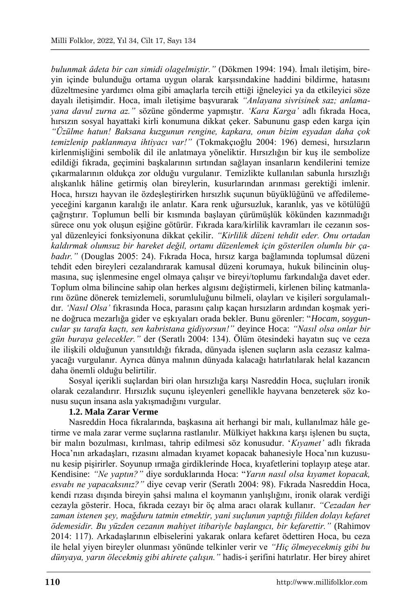*bulunmak âdeta bir can simidi olagelmiştir."* (Dökmen 1994: 194). İmalı iletişim, bireyin içinde bulunduğu ortama uygun olarak karşısındakine haddini bildirme, hatasını düzeltmesine yardımcı olma gibi amaçlarla tercih ettiği iğneleyici ya da etkileyici söze dayalı iletişimdir. Hoca, imalı iletişime başvurarak *"Anlayana sivrisinek saz; anlamayana davul zurna az."* sözüne gönderme yapmıştır. *'Kara Karga'* adlı fıkrada Hoca, hırsızın sosyal hayattaki kirli konumuna dikkat çeker. Sabununu gasp eden karga için *"Üzülme hatun! Baksana kuzgunun rengine, kapkara, onun bizim eşyadan daha çok temizlenip paklanmaya ihtiyacı var!"* (Tokmakçıoğlu 2004: 196) demesi, hırsızların kirlenmişliğini sembolik dil ile anlatmaya yöneliktir. Hırsızlığın bir kuş ile sembolize edildiği fıkrada, geçimini başkalarının sırtından sağlayan insanların kendilerini temize çıkarmalarının oldukça zor olduğu vurgulanır. Temizlikte kullanılan sabunla hırsızlığı alışkanlık hâline getirmiş olan bireylerin, kusurlarından arınması gerektiği imlenir. Hoca, hırsızı hayvan ile özdeşleştirirken hırsızlık suçunun büyüklüğünü ve affedilemeyeceğini karganın karalığı ile anlatır. Kara renk uğursuzluk, karanlık, yas ve kötülüğü çağrıştırır. Toplumun belli bir kısmında başlayan çürümüşlük kökünden kazınmadığı sürece onu yok oluşun eşiğine götürür. Fıkrada kara/kirlilik kavramları ile cezanın sosyal düzenleyici fonksiyonuna dikkat çekilir. *"Kirlilik düzeni tehdit eder. Onu ortadan kaldırmak olumsuz bir hareket değil, ortamı düzenlemek için gösterilen olumlu bir çabadır."* (Douglas 2005: 24). Fıkrada Hoca, hırsız karga bağlamında toplumsal düzeni tehdit eden bireyleri cezalandırarak kamusal düzeni korumaya, hukuk bilincinin oluşmasına, suç işlenmesine engel olmaya çalışır ve bireyi/toplumu farkındalığa davet eder. Toplum olma bilincine sahip olan herkes algısını değiştirmeli, kirlenen bilinç katmanlarını özüne dönerek temizlemeli, sorumluluğunu bilmeli, olayları ve kişileri sorgulamalıdır. *'Nasıl Olsa'* fıkrasında Hoca, parasını çalıp kaçan hırsızların ardından koşmak yerine doğruca mezarlığa gider ve eşkıyaları orada bekler. Bunu görenler: "*Hocam, soyguncular şu tarafa kaçtı, sen kabristana gidiyorsun!"* deyince Hoca: *"Nasıl olsa onlar bir gün buraya gelecekler."* der (Seratlı 2004: 134). Ölüm ötesindeki hayatın suç ve ceza ile ilişkili olduğunun yansıtıldığı fıkrada, dünyada işlenen suçların asla cezasız kalmayacağı vurgulanır. Ayrıca dünya malının dünyada kalacağı hatırlatılarak helal kazancın daha önemli olduğu belirtilir.

Sosyal içerikli suçlardan biri olan hırsızlığa karşı Nasreddin Hoca, suçluları ironik olarak cezalandırır. Hırsızlık suçunu işleyenleri genellikle hayvana benzeterek söz konusu suçun insana asla yakışmadığını vurgular.

# **1.2. Mala Zarar Verme**

Nasreddin Hoca fıkralarında, başkasına ait herhangi bir malı, kullanılmaz hâle getirme ve mala zarar verme suçlarına rastlanılır. Mülkiyet hakkına karşı işlenen bu suçta, bir malın bozulması, kırılması, tahrip edilmesi söz konusudur. '*Kıyamet'* adlı fıkrada Hoca'nın arkadaşları, rızasını almadan kıyamet kopacak bahanesiyle Hoca'nın kuzusunu kesip pişirirler. Soyunup ırmağa girdiklerinde Hoca, kıyafetlerini toplayıp ateşe atar. Kendisine: *"Ne yaptın?"* diye sorduklarında Hoca: "*Yarın nasıl olsa kıyamet kopacak, esvabı ne yapacaksınız?"* diye cevap verir (Seratlı 2004: 98). Fıkrada Nasreddin Hoca, kendi rızası dışında bireyin şahsi malına el koymanın yanlışlığını, ironik olarak verdiği cezayla gösterir. Hoca, fıkrada cezayı bir öç alma aracı olarak kullanır. *"Cezadan her zaman istenen şey, mağduru tatmin etmektir, yani suçlunun yaptığı fiilden dolayı kefaret ödemesidir. Bu yüzden cezanın mahiyet itibariyle başlangıcı, bir kefarettir."* (Rahimov 2014: 117). Arkadaşlarının elbiselerini yakarak onlara kefaret ödettiren Hoca, bu ceza ile helal yiyen bireyler olunması yönünde telkinler verir ve *"Hiç ölmeyecekmiş gibi bu dünyaya, yarın ölecekmiş gibi ahirete çalışın."* hadis-i şerifini hatırlatır. Her birey ahiret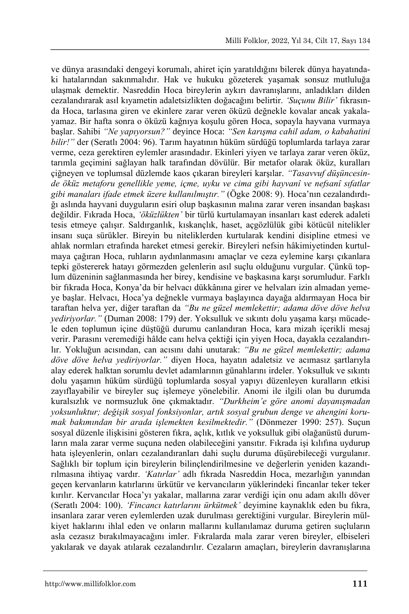ve dünya arasındaki dengeyi korumalı, ahiret için yaratıldığını bilerek dünya hayatındaki hatalarından sakınmalıdır. Hak ve hukuku gözeterek yaşamak sonsuz mutluluğa ulaşmak demektir. Nasreddin Hoca bireylerin aykırı davranışlarını, anladıkları dilden cezalandırarak asıl kıyametin adaletsizlikten doğacağını belirtir. *'Suçunu Bilir'* fıkrasında Hoca, tarlasına giren ve ekinlere zarar veren öküzü değnekle kovalar ancak yakalayamaz. Bir hafta sonra o öküzü kağnıya koşulu gören Hoca, sopayla hayvana vurmaya başlar. Sahibi *"Ne yapıyorsun?"* deyince Hoca: *"Sen karışma cahil adam, o kabahatini bilir!"* der (Seratlı 2004: 96). Tarım hayatının hüküm sürdüğü toplumlarda tarlaya zarar verme, ceza gerektiren eylemler arasındadır. Ekinleri yiyen ve tarlaya zarar veren öküz, tarımla geçimini sağlayan halk tarafından dövülür. Bir metafor olarak öküz, kuralları çiğneyen ve toplumsal düzlemde kaos çıkaran bireyleri karşılar. *"Tasavvuf düşüncesinde öküz metaforu genellikle yeme, içme, uyku ve cima gibi hayvanî ve nefsanî sıfatlar gibi manaları ifade etmek üzere kullanılmıştır."* (Ögke 2008: 9). Hoca'nın cezalandırdığı aslında hayvani duyguların esiri olup başkasının malına zarar veren insandan başkası değildir. Fıkrada Hoca, *'öküzlükten'* bir türlü kurtulamayan insanları kast ederek adaleti tesis etmeye çalışır. Saldırganlık, kıskançlık, haset, açgözlülük gibi kötücül nitelikler insanı suça sürükler. Bireyin bu niteliklerden kurtularak kendini disipline etmesi ve ahlak normları etrafında hareket etmesi gerekir. Bireyleri nefsin hâkimiyetinden kurtulmaya çağıran Hoca, ruhların aydınlanmasını amaçlar ve ceza eylemine karşı çıkanlara tepki göstererek hatayı görmezden gelenlerin asıl suçlu olduğunu vurgular. Çünkü toplum düzeninin sağlanmasında her birey, kendisine ve başkasına karşı sorumludur. Farklı bir fıkrada Hoca, Konya'da bir helvacı dükkânına girer ve helvaları izin almadan yemeye başlar. Helvacı, Hoca'ya değnekle vurmaya başlayınca dayağa aldırmayan Hoca bir taraftan helva yer, diğer taraftan da *"Bu ne güzel memlekettir; adama döve döve helva yediriyorlar."* (Duman 2008: 179) der. Yoksulluk ve sıkıntı dolu yaşama karşı mücadele eden toplumun içine düştüğü durumu canlandıran Hoca, kara mizah içerikli mesaj verir. Parasını veremediği hâlde canı helva çektiği için yiyen Hoca, dayakla cezalandırılır. Yokluğun acısından, can acısını dahi unutarak: *"Bu ne güzel memlekettir; adama döve döve helva yediriyorlar."* diyen Hoca, hayatın adaletsiz ve acımasız şartlarıyla alay ederek halktan sorumlu devlet adamlarının günahlarını irdeler. Yoksulluk ve sıkıntı dolu yaşamın hüküm sürdüğü toplumlarda sosyal yapıyı düzenleyen kuralların etkisi zayıflayabilir ve bireyler suç işlemeye yönelebilir. Anomi ile ilgili olan bu durumda kuralsızlık ve normsuzluk öne çıkmaktadır. *"Durkheim'e göre anomi dayanışmadan yoksunluktur; değişik sosyal fonksiyonlar, artık sosyal grubun denge ve ahengini korumak bakımından bir arada işlemekten kesilmektedir."* (Dönmezer 1990: 257). Suçun sosyal düzenle ilişkisini gösteren fıkra, açlık, kıtlık ve yoksulluk gibi olağanüstü durumların mala zarar verme suçuna neden olabileceğini yansıtır. Fıkrada işi kılıfına uydurup hata işleyenlerin, onları cezalandıranları dahi suçlu duruma düşürebileceği vurgulanır. Sağlıklı bir toplum için bireylerin bilinçlendirilmesine ve değerlerin yeniden kazandırılmasına ihtiyaç vardır. *'Katırlar'* adlı fıkrada Nasreddin Hoca, mezarlığın yanından geçen kervanların katırlarını ürkütür ve kervancıların yüklerindeki fincanlar teker teker kırılır. Kervancılar Hoca'yı yakalar, mallarına zarar verdiği için onu adam akıllı döver (Seratlı 2004: 100). *'Fincancı katırlarını ürkütmek'* deyimine kaynaklık eden bu fıkra, insanlara zarar veren eylemlerden uzak durulması gerektiğini vurgular. Bireylerin mülkiyet haklarını ihlal eden ve onların mallarını kullanılamaz duruma getiren suçluların asla cezasız bırakılmayacağını imler. Fıkralarda mala zarar veren bireyler, elbiseleri yakılarak ve dayak atılarak cezalandırılır. Cezaların amaçları, bireylerin davranışlarına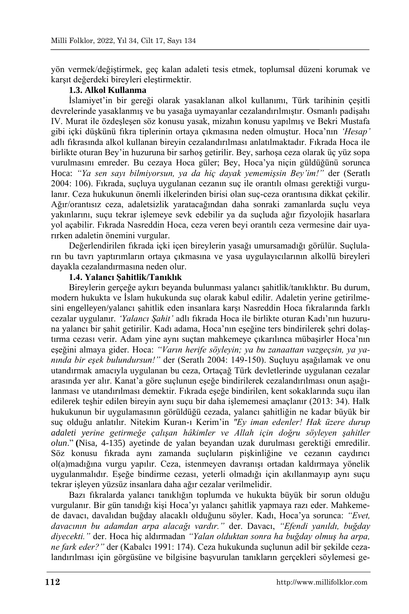yön vermek/değiştirmek, geç kalan adaleti tesis etmek, toplumsal düzeni korumak ve karşıt değerdeki bireyleri eleştirmektir.

# **1.3. Alkol Kullanma**

İslamiyet'in bir gereği olarak yasaklanan alkol kullanımı, Türk tarihinin çeşitli devrelerinde yasaklanmış ve bu yasağa uymayanlar cezalandırılmıştır. Osmanlı padişahı IV. Murat ile özdeşleşen söz konusu yasak, mizahın konusu yapılmış ve Bekri Mustafa gibi içki düşkünü fıkra tiplerinin ortaya çıkmasına neden olmuştur. Hoca'nın *'Hesap'* adlı fıkrasında alkol kullanan bireyin cezalandırılması anlatılmaktadır. Fıkrada Hoca ile birlikte oturan Bey'in huzuruna bir sarhoş getirilir. Bey, sarhoşa ceza olarak üç yüz sopa vurulmasını emreder. Bu cezaya Hoca güler; Bey, Hoca'ya niçin güldüğünü sorunca Hoca: *"Ya sen sayı bilmiyorsun, ya da hiç dayak yememişsin Bey'im!"* der (Seratlı 2004: 106). Fıkrada, suçluya uygulanan cezanın suç ile orantılı olması gerektiği vurgulanır. Ceza hukukunun önemli ilkelerinden birisi olan suç-ceza orantısına dikkat çekilir. Ağır/orantısız ceza, adaletsizlik yaratacağından daha sonraki zamanlarda suçlu veya yakınlarını, suçu tekrar işlemeye sevk edebilir ya da suçluda ağır fizyolojik hasarlara yol açabilir. Fıkrada Nasreddin Hoca, ceza veren beyi orantılı ceza vermesine dair uyarırken adaletin önemini vurgular.

Değerlendirilen fıkrada içki içen bireylerin yasağı umursamadığı görülür. Suçluların bu tavrı yaptırımların ortaya çıkmasına ve yasa uygulayıcılarının alkollü bireyleri dayakla cezalandırmasına neden olur.

### **1.4. Yalancı Şahitlik/Tanıklık**

Bireylerin gerçeğe aykırı beyanda bulunması yalancı şahitlik/tanıklıktır. Bu durum, modern hukukta ve İslam hukukunda suç olarak kabul edilir. Adaletin yerine getirilmesini engelleyen/yalancı şahitlik eden insanlara karşı Nasreddin Hoca fıkralarında farklı cezalar uygulanır. *'Yalancı Şahit'* adlı fıkrada Hoca ile birlikte oturan Kadı'nın huzuruna yalancı bir şahit getirilir. Kadı adama, Hoca'nın eşeğine ters bindirilerek şehri dolaştırma cezası verir*.* Adam yine aynı suçtan mahkemeye çıkarılınca mübaşirler Hoca'nın eşeğini almaya gider. Hoca: *"Varın herife söyleyin; ya bu zanaattan vazgeçsin, ya yanında bir eşek bulundursun!"* der (Seratlı 2004: 149-150). Suçluyu aşağılamak ve onu utandırmak amacıyla uygulanan bu ceza, Ortaçağ Türk devletlerinde uygulanan cezalar arasında yer alır. Kanat'a göre suçlunun eşeğe bindirilerek cezalandırılması onun aşağılanması ve utandırılması demektir. Fıkrada eşeğe bindirilen, kent sokaklarında suçu ilan edilerek teşhir edilen bireyin aynı suçu bir daha işlememesi amaçlanır (2013: 34). Halk hukukunun bir uygulamasının görüldüğü cezada, yalancı şahitliğin ne kadar büyük bir suç olduğu anlatılır. Nitekim Kuran-ı Kerim'in *"Ey iman edenler! Hak üzere durup adaleti yerine getirmeğe çalışan hâkimler ve Allah için doğru söyleyen şahitler olun*." **(**Nisa, 4-135) ayetinde de yalan beyandan uzak durulması gerektiği emredilir. Söz konusu fıkrada aynı zamanda suçluların pişkinliğine ve cezanın caydırıcı ol(a)madığına vurgu yapılır. Ceza, istenmeyen davranışı ortadan kaldırmaya yönelik uygulanmalıdır. Eşeğe bindirme cezası, yeterli olmadığı için akıllanmayıp aynı suçu tekrar işleyen yüzsüz insanlara daha ağır cezalar verilmelidir.

Bazı fıkralarda yalancı tanıklığın toplumda ve hukukta büyük bir sorun olduğu vurgulanır. Bir gün tanıdığı kişi Hoca'yı yalancı şahitlik yapmaya razı eder. Mahkemede davacı, davalıdan buğday alacaklı olduğunu söyler. Kadı, Hoca'ya sorunca: *"Evet, davacının bu adamdan arpa alacağı vardır."* der. Davacı, *"Efendi yanıldı, buğday diyecekti."* der. Hoca hiç aldırmadan *"Yalan olduktan sonra ha buğday olmuş ha arpa, ne fark eder?"* der (Kabalcı 1991: 174). Ceza hukukunda suçlunun adil bir şekilde cezalandırılması için görgüsüne ve bilgisine başvurulan tanıkların gerçekleri söylemesi ge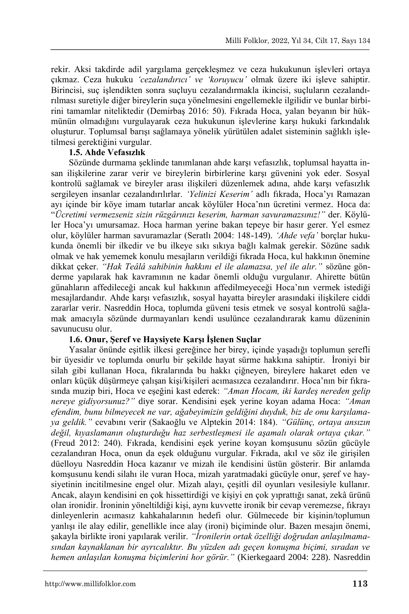rekir. Aksi takdirde adil yargılama gerçekleşmez ve ceza hukukunun işlevleri ortaya çıkmaz. Ceza hukuku *'cezalandırıcı' ve 'koruyucu'* olmak üzere iki işleve sahiptir. Birincisi, suç işlendikten sonra suçluyu cezalandırmakla ikincisi, suçluların cezalandırılması suretiyle diğer bireylerin suça yönelmesini engellemekle ilgilidir ve bunlar birbirini tamamlar niteliktedir (Demirbaş 2016: 50). Fıkrada Hoca, yalan beyanın bir hükmünün olmadığını vurgulayarak ceza hukukunun işlevlerine karşı hukuki farkındalık oluşturur. Toplumsal barışı sağlamaya yönelik yürütülen adalet sisteminin sağlıklı işletilmesi gerektiğini vurgular.

# **1.5. Ahde Vefasızlık**

Sözünde durmama şeklinde tanımlanan ahde karşı vefasızlık, toplumsal hayatta insan ilişkilerine zarar verir ve bireylerin birbirlerine karşı güvenini yok eder. Sosyal kontrolü sağlamak ve bireyler arası ilişkileri düzenlemek adına, ahde karşı vefasızlık sergileyen insanlar cezalandırılırlar. *'Yelinizi Keserim'* adlı fıkrada, Hoca'yı Ramazan ayı içinde bir köye imam tutarlar ancak köylüler Hoca'nın ücretini vermez*.* Hoca da: "*Ücretimi vermezseniz sizin rüzgârınızı keserim, harman savuramazsınız!"* der. Köylüler Hoca'yı umursamaz. Hoca harman yerine bakan tepeye bir hasır gerer. Yel esmez olur, köylüler harman savuramazlar (Seratlı 2004: 148-149). *'Ahde vefa'* borçlar hukukunda önemli bir ilkedir ve bu ilkeye sıkı sıkıya bağlı kalmak gerekir. Sözüne sadık olmak ve hak yememek konulu mesajların verildiği fıkrada Hoca, kul hakkının önemine dikkat çeker. *"Hak Teâlâ sahibinin hakkını el ile alamazsa, yel ile alır."* sözüne gönderme yapılarak hak kavramının ne kadar önemli olduğu vurgulanır. Ahirette bütün günahların affedileceği ancak kul hakkının affedilmeyeceği Hoca'nın vermek istediği mesajlardandır. Ahde karşı vefasızlık, sosyal hayatta bireyler arasındaki ilişkilere ciddi zararlar verir. Nasreddin Hoca, toplumda güveni tesis etmek ve sosyal kontrolü sağlamak amacıyla sözünde durmayanları kendi usulünce cezalandırarak kamu düzeninin savunucusu olur.

# **1.6. Onur, Şeref ve Haysiyete Karşı İşlenen Suçlar**

Yasalar önünde eşitlik ilkesi gereğince her birey, içinde yaşadığı toplumun şerefli bir üyesidir ve toplumda onurlu bir şekilde hayat sürme hakkına sahiptir. İroniyi bir silah gibi kullanan Hoca, fıkralarında bu hakkı çiğneyen, bireylere hakaret eden ve onları küçük düşürmeye çalışan kişi/kişileri acımasızca cezalandırır. Hoca'nın bir fıkrasında muzip biri, Hoca ve eşeğini kast ederek: *"Aman Hocam, iki kardeş nereden gelip nereye gidiyorsunuz?"* diye sorar*.* Kendisini eşek yerine koyan adama Hoca: *"Aman efendim, bunu bilmeyecek ne var, ağabeyimizin geldiğini duyduk, biz de onu karşılamaya geldik."* cevabını verir (Sakaoğlu ve Alptekin 2014: 184). *"Gülünç, ortaya ansızın değil, kıyaslamanın oluşturduğu haz serbestleşmesi ile aşamalı olarak ortaya çıkar."* (Freud 2012: 240). Fıkrada, kendisini eşek yerine koyan komşusunu sözün gücüyle cezalandıran Hoca, onun da eşek olduğunu vurgular. Fıkrada, akıl ve söz ile girişilen düelloyu Nasreddin Hoca kazanır ve mizah ile kendisini üstün gösterir. Bir anlamda komşusunu kendi silahı ile vuran Hoca, mizah yaratmadaki gücüyle onur, şeref ve haysiyetinin incitilmesine engel olur. Mizah alayı, çeşitli dil oyunları vesilesiyle kullanır. Ancak, alayın kendisini en çok hissettirdiği ve kişiyi en çok yıprattığı sanat, zekâ ürünü olan ironidir. İroninin yöneltildiği kişi, aynı kuvvette ironik bir cevap veremezse, fıkrayı dinleyenlerin acımasız kahkahalarının hedefi olur. Gülmecede bir kişinin/toplumun yanlışı ile alay edilir, genellikle ince alay (ironi) biçiminde olur. Bazen mesajın önemi, şakayla birlikte ironi yapılarak verilir. *"İronilerin ortak özelliği doğrudan anlaşılmamasından kaynaklanan bir ayrıcalıktır. Bu yüzden adı geçen konuşma biçimi, sıradan ve hemen anlaşılan konuşma biçimlerini hor görür."* (Kierkegaard 2004: 228). Nasreddin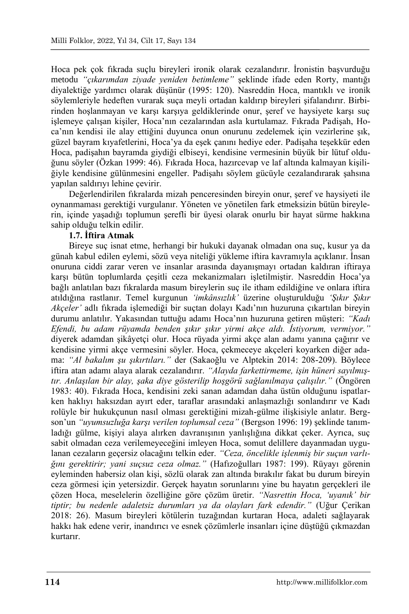Hoca pek çok fıkrada suçlu bireyleri ironik olarak cezalandırır. İronistin başvurduğu metodu *"çıkarımdan ziyade yeniden betimleme"* şeklinde ifade eden Rorty, mantığı diyalektiğe yardımcı olarak düşünür (1995: 120). Nasreddin Hoca, mantıklı ve ironik söylemleriyle hedeften vurarak suça meyli ortadan kaldırıp bireyleri şifalandırır. Birbirinden hoşlanmayan ve karşı karşıya geldiklerinde onur, şeref ve haysiyete karşı suç işlemeye çalışan kişiler, Hoca'nın cezalarından asla kurtulamaz. Fıkrada Padişah, Hoca'nın kendisi ile alay ettiğini duyunca onun onurunu zedelemek için vezirlerine şık, güzel bayram kıyafetlerini, Hoca'ya da eşek çanını hediye eder. Padişaha teşekkür eden Hoca, padişahın bayramda giydiği elbiseyi, kendisine vermesinin büyük bir lütuf olduğunu söyler (Özkan 1999: 46). Fıkrada Hoca, hazırcevap ve laf altında kalmayan kişiliğiyle kendisine gülünmesini engeller. Padişahı söylem gücüyle cezalandırarak şahsına yapılan saldırıyı lehine çevirir.

Değerlendirilen fıkralarda mizah penceresinden bireyin onur, şeref ve haysiyeti ile oynanmaması gerektiği vurgulanır. Yöneten ve yönetilen fark etmeksizin bütün bireylerin, içinde yaşadığı toplumun şerefli bir üyesi olarak onurlu bir hayat sürme hakkına sahip olduğu telkin edilir.

## **1.7. İftira Atmak**

Bireye suç isnat etme, herhangi bir hukuki dayanak olmadan ona suç, kusur ya da günah kabul edilen eylemi, sözü veya niteliği yükleme iftira kavramıyla açıklanır. İnsan onuruna ciddi zarar veren ve insanlar arasında dayanışmayı ortadan kaldıran iftiraya karşı bütün toplumlarda çeşitli ceza mekanizmaları işletilmiştir. Nasreddin Hoca'ya bağlı anlatılan bazı fıkralarda masum bireylerin suç ile itham edildiğine ve onlara iftira atıldığına rastlanır. Temel kurgunun *'imkânsızlık'* üzerine oluşturulduğu *'Şıkır Şıkır Akçeler'* adlı fıkrada işlemediği bir suçtan dolayı Kadı'nın huzuruna çıkartılan bireyin durumu anlatılır. Yakasından tuttuğu adamı Hoca'nın huzuruna getiren müşteri: *"Kadı Efendi, bu adam rüyamda benden şıkır şıkır yirmi akçe aldı. İstiyorum, vermiyor."*  diyerek adamdan şikâyetçi olur. Hoca rüyada yirmi akçe alan adamı yanına çağırır ve kendisine yirmi akçe vermesini söyler. Hoca, çekmeceye akçeleri koyarken diğer adama: *"Al bakalım şu şıkırtıları."* der (Sakaoğlu ve Alptekin 2014: 208-209). Böylece iftira atan adamı alaya alarak cezalandırır. *"Alayda farkettirmeme, işin hüneri sayılmıştır. Anlaşılan bir alay, şaka diye gösterilip hoşgörü sağlanılmaya çalışılır."* (Öngören 1983: 40). Fıkrada Hoca, kendisini zeki sanan adamdan daha üstün olduğunu ispatlarken haklıyı haksızdan ayırt eder, taraflar arasındaki anlaşmazlığı sonlandırır ve Kadı rolüyle bir hukukçunun nasıl olması gerektiğini mizah-gülme ilişkisiyle anlatır. Bergson'un *"uyumsuzluğa karşı verilen toplumsal ceza"* (Bergson 1996: 19) şeklinde tanımladığı gülme, kişiyi alaya alırken davranışının yanlışlığına dikkat çeker. Ayrıca, suç sabit olmadan ceza verilemeyeceğini imleyen Hoca, somut delillere dayanmadan uygulanan cezaların geçersiz olacağını telkin eder. *"Ceza, öncelikle işlenmiş bir suçun varlığını gerektirir; yani suçsuz ceza olmaz."* (Hafızoğulları 1987: 199). Rüyayı görenin eyleminden habersiz olan kişi, sözlü olarak zan altında bırakılır fakat bu durum bireyin ceza görmesi için yetersizdir. Gerçek hayatın sorunlarını yine bu hayatın gerçekleri ile çözen Hoca, meselelerin özelliğine göre çözüm üretir. *"Nasrettin Hoca, 'uyanık' bir tiptir; bu nedenle adaletsiz durumları ya da olayları fark edendir."* (Uğur Çerikan 2018: 26). Masum bireyleri kötülerin tuzağından kurtaran Hoca, adaleti sağlayarak hakkı hak edene verir, inandırıcı ve esnek çözümlerle insanları içine düştüğü çıkmazdan kurtarır.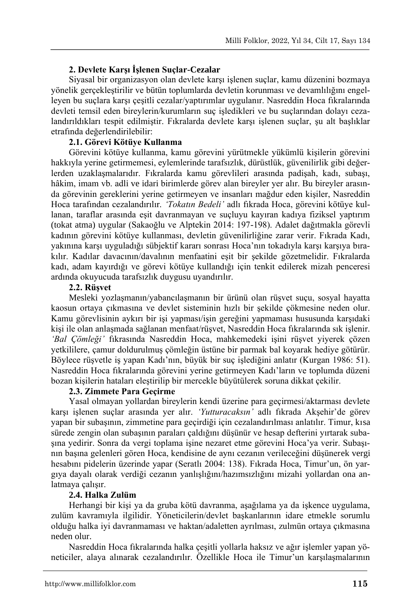### **2. Devlete Karşı İşlenen Suçlar-Cezalar**

Siyasal bir organizasyon olan devlete karşı işlenen suçlar, kamu düzenini bozmaya yönelik gerçekleştirilir ve bütün toplumlarda devletin korunması ve devamlılığını engelleyen bu suçlara karşı çeşitli cezalar/yaptırımlar uygulanır. Nasreddin Hoca fıkralarında devleti temsil eden bireylerin/kurumların suç işledikleri ve bu suçlarından dolayı cezalandırıldıkları tespit edilmiştir. Fıkralarda devlete karşı işlenen suçlar, şu alt başlıklar etrafında değerlendirilebilir:

# **2.1. Görevi Kötüye Kullanma**

Görevini kötüye kullanma, kamu görevini yürütmekle yükümlü kişilerin görevini hakkıyla yerine getirmemesi, eylemlerinde tarafsızlık, dürüstlük, güvenilirlik gibi değerlerden uzaklaşmalarıdır. Fıkralarda kamu görevlileri arasında padişah, kadı, subaşı, hâkim, imam vb. adli ve idari birimlerde görev alan bireyler yer alır. Bu bireyler arasında görevinin gereklerini yerine getirmeyen ve insanları mağdur eden kişiler, Nasreddin Hoca tarafından cezalandırılır. *'Tokatın Bedeli'* adlı fıkrada Hoca, görevini kötüye kullanan, taraflar arasında eşit davranmayan ve suçluyu kayıran kadıya fiziksel yaptırım (tokat atma) uygular (Sakaoğlu ve Alptekin 2014: 197-198). Adalet dağıtmakla görevli kadının görevini kötüye kullanması, devletin güvenilirliğine zarar verir. Fıkrada Kadı, yakınına karşı uyguladığı sübjektif kararı sonrası Hoca'nın tokadıyla karşı karşıya bırakılır. Kadılar davacının/davalının menfaatini eşit bir şekilde gözetmelidir. Fıkralarda kadı, adam kayırdığı ve görevi kötüye kullandığı için tenkit edilerek mizah penceresi ardında okuyucuda tarafsızlık duygusu uyandırılır.

# **2.2. Rüşvet**

Mesleki yozlaşmanın/yabancılaşmanın bir ürünü olan rüşvet suçu, sosyal hayatta kaosun ortaya çıkmasına ve devlet sisteminin hızlı bir şekilde çökmesine neden olur. Kamu görevlisinin aykırı bir işi yapması/işin gereğini yapmaması hususunda karşıdaki kişi ile olan anlaşmada sağlanan menfaat/rüşvet, Nasreddin Hoca fıkralarında sık işlenir. *'Bal Çömleği'* fıkrasında Nasreddin Hoca, mahkemedeki işini rüşvet yiyerek çözen yetkililere, çamur doldurulmuş çömleğin üstüne bir parmak bal koyarak hediye götürür. Böylece rüşvetle iş yapan Kadı'nın, büyük bir suç işlediğini anlatır (Kurgan 1986: 51). Nasreddin Hoca fıkralarında görevini yerine getirmeyen Kadı'ların ve toplumda düzeni bozan kişilerin hataları eleştirilip bir mercekle büyütülerek soruna dikkat çekilir.

# **2.3. Zimmete Para Geçirme**

Yasal olmayan yollardan bireylerin kendi üzerine para geçirmesi/aktarması devlete karşı işlenen suçlar arasında yer alır. *'Yutturacaksın'* adlı fıkrada Akşehir'de görev yapan bir subaşının, zimmetine para geçirdiği için cezalandırılması anlatılır. Timur, kısa sürede zengin olan subaşının paraları çaldığını düşünür ve hesap defterini yırtarak subaşına yedirir. Sonra da vergi toplama işine nezaret etme görevini Hoca'ya verir. Subaşının başına gelenleri gören Hoca, kendisine de aynı cezanın verileceğini düşünerek vergi hesabını pidelerin üzerinde yapar (Seratlı 2004: 138). Fıkrada Hoca, Timur'un, ön yargıya dayalı olarak verdiği cezanın yanlışlığını/hazımsızlığını mizahi yollardan ona anlatmaya çalışır.

# **2.4. Halka Zulüm**

Herhangi bir kişi ya da gruba kötü davranma, aşağılama ya da işkence uygulama, zulüm kavramıyla ilgilidir. Yöneticilerin/devlet başkanlarının idare etmekle sorumlu olduğu halka iyi davranmaması ve haktan/adaletten ayrılması, zulmün ortaya çıkmasına neden olur.

Nasreddin Hoca fıkralarında halka çeşitli yollarla haksız ve ağır işlemler yapan yöneticiler, alaya alınarak cezalandırılır. Özellikle Hoca ile Timur'un karşılaşmalarının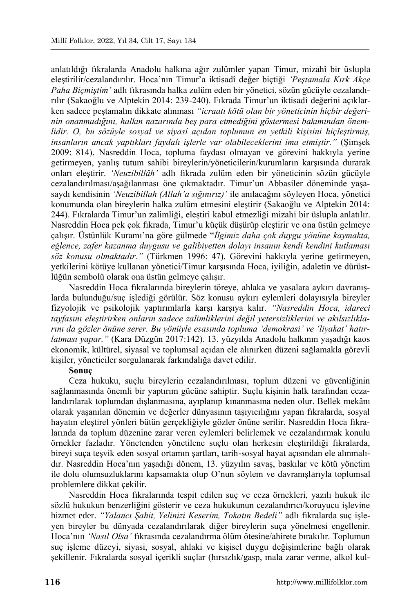anlatıldığı fıkralarda Anadolu halkına ağır zulümler yapan Timur, mizahî bir üslupla eleştirilir/cezalandırılır. Hoca'nın Timur'a iktisadî değer biçtiği *'Peştamala Kırk Akçe Paha Biçmiştim'* adlı fıkrasında halka zulüm eden bir yönetici, sözün gücüyle cezalandırılır (Sakaoğlu ve Alptekin 2014: 239-240). Fıkrada Timur'un iktisadi değerini açıklarken sadece peştamalın dikkate alınması *"icraatı kötü olan bir yöneticinin hiçbir değerinin onanmadığını, halkın nazarında beş para etmediğini göstermesi bakımından önemlidir. O, bu sözüyle sosyal ve siyasî açıdan toplumun en yetkili kişisini hiçleştirmiş, insanların ancak yaptıkları faydalı işlerle var olabileceklerini ima etmiştir."* (Şimşek 2009: 814). Nasreddin Hoca, topluma faydası olmayan ve görevini hakkıyla yerine getirmeyen, yanlış tutum sahibi bireylerin/yöneticilerin/kurumların karşısında durarak onları eleştirir. *'Neuzibillâh'* adlı fıkrada zulüm eden bir yöneticinin sözün gücüyle cezalandırılması/aşağılanması öne çıkmaktadır. Timur'un Abbasiler döneminde yaşasaydı kendisinin *'Neuzibillah (Allah'a sığınırız)'* ile anılacağını söyleyen Hoca, yönetici konumunda olan bireylerin halka zulüm etmesini eleştirir (Sakaoğlu ve Alptekin 2014: 244). Fıkralarda Timur'un zalimliği, eleştiri kabul etmezliği mizahi bir üslupla anlatılır. Nasreddin Hoca pek çok fıkrada, Timur'u küçük düşürüp eleştirir ve ona üstün gelmeye çalışır. Üstünlük Kuramı'na göre gülmede "*İlgimiz daha çok duygu yönüne kaymakta, eğlence, zafer kazanma duygusu ve galibiyetten dolayı insanın kendi kendini kutlaması söz konusu olmaktadır."* (Türkmen 1996: 47). Görevini hakkıyla yerine getirmeyen, yetkilerini kötüye kullanan yönetici/Timur karşısında Hoca, iyiliğin, adaletin ve dürüstlüğün sembolü olarak ona üstün gelmeye çalışır.

Nasreddin Hoca fıkralarında bireylerin töreye, ahlaka ve yasalara aykırı davranışlarda bulunduğu/suç işlediği görülür. Söz konusu aykırı eylemleri dolayısıyla bireyler fizyolojik ve psikolojik yaptırımlarla karşı karşıya kalır. *"Nasreddin Hoca, idareci tayfasını eleştirirken onların sadece zalimliklerini değil yetersizliklerini ve akılsızlıklarını da gözler önüne serer. Bu yönüyle esasında topluma 'demokrasi' ve 'liyakat' hatırlatması yapar."* (Kara Düzgün 2017:142). 13. yüzyılda Anadolu halkının yaşadığı kaos ekonomik, kültürel, siyasal ve toplumsal açıdan ele alınırken düzeni sağlamakla görevli kişiler, yöneticiler sorgulanarak farkındalığa davet edilir.

### **Sonuç**

Ceza hukuku, suçlu bireylerin cezalandırılması, toplum düzeni ve güvenliğinin sağlanmasında önemli bir yaptırım gücüne sahiptir. Suçlu kişinin halk tarafından cezalandırılarak toplumdan dışlanmasına, ayıplanıp kınanmasına neden olur. Bellek mekânı olarak yaşanılan dönemin ve değerler dünyasının taşıyıcılığını yapan fıkralarda, sosyal hayatın eleştirel yönleri bütün gerçekliğiyle gözler önüne serilir. Nasreddin Hoca fıkralarında da toplum düzenine zarar veren eylemleri belirlemek ve cezalandırmak konulu örnekler fazladır. Yönetenden yönetilene suçlu olan herkesin eleştirildiği fıkralarda, bireyi suça teşvik eden sosyal ortamın şartları, tarih-sosyal hayat açısından ele alınmalıdır. Nasreddin Hoca'nın yaşadığı dönem, 13. yüzyılın savaş, baskılar ve kötü yönetim ile dolu olumsuzluklarını kapsamakta olup O'nun söylem ve davranışlarıyla toplumsal problemlere dikkat çekilir.

Nasreddin Hoca fıkralarında tespit edilen suç ve ceza örnekleri, yazılı hukuk ile sözlü hukukun benzerliğini gösterir ve ceza hukukunun cezalandırıcı/koruyucu işlevine hizmet eder. *"Yalancı Şahit, Yelinizi Keserim, Tokatın Bedeli"* adlı fıkralarda suç işleyen bireyler bu dünyada cezalandırılarak diğer bireylerin suça yönelmesi engellenir. Hoca'nın *'Nasıl Olsa'* fıkrasında cezalandırma ölüm ötesine/ahirete bırakılır. Toplumun suç işleme düzeyi, siyasi, sosyal, ahlaki ve kişisel duygu değişimlerine bağlı olarak şekillenir. Fıkralarda sosyal içerikli suçlar (hırsızlık/gasp, mala zarar verme, alkol kul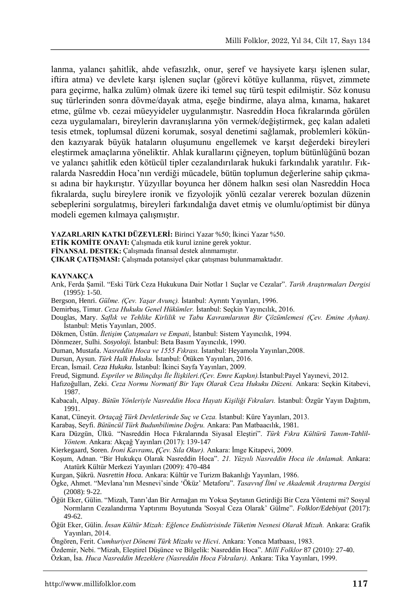lanma, yalancı sahitlik, ahde vefasızlık, onur, seref ve haysiyete karsı islenen sular, iftira atma) ve devlete karşı işlenen suçlar (görevi kötüye kullanma, rüşvet, zimmete para geçirme, halka zulüm) olmak üzere iki temel suç türü tespit edilmiştir. Söz konusu suç türlerinden sonra dövme/dayak atma, eşeğe bindirme, alaya alma, kınama, hakaret etme, gülme vb. cezai müeyyideler uygulanmıştır. Nasreddin Hoca fıkralarında görülen ceza uygulamaları, bireylerin davranışlarına yön vermek/değiştirmek, geç kalan adaleti tesis etmek, toplumsal düzeni korumak, sosyal denetimi sağlamak, problemleri kökünden kazıyarak büyük hataların oluşumunu engellemek ve karşıt değerdeki bireyleri eleştirmek amaçlarına yöneliktir. Ahlak kurallarını çiğneyen, toplum bütünlüğünü bozan ve yalancı şahitlik eden kötücül tipler cezalandırılarak hukuki farkındalık yaratılır. Fıkralarda Nasreddin Hoca'nın verdiği mücadele, bütün toplumun değerlerine sahip çıkması adına bir haykırıştır. Yüzyıllar boyunca her dönem halkın sesi olan Nasreddin Hoca fıkralarda, suçlu bireylere ironik ve fizyolojik yönlü cezalar vererek bozulan düzenin sebeplerini sorgulatmış, bireyleri farkındalığa davet etmiş ve olumlu/optimist bir dünya modeli egemen kılmaya çalışmıştır.

**YAZARLARIN KATKI DÜZEYLERİ:** Birinci Yazar %50; İkinci Yazar %50.

**ETİK KOMİTE ONAYI:** Çalışmada etik kurul iznine gerek yoktur.

**FİNANSAL DESTEK:** Çalışmada finansal destek alınmamıştır.

**ÇIKAR ÇATIŞMASI:** Çalışmada potansiyel çıkar çatışması bulunmamaktadır.

#### **KAYNAKÇA**

- Arık, Ferda Şamil. "Eski Türk Ceza Hukukuna Dair Notlar 1 Suçlar ve Cezalar". *Tarih Araştırmaları Dergisi* (1995): 1-50.
- Bergson, Henri. *Gülme. (Çev. Yaşar Avunç).* İstanbul: Ayrıntı Yayınları, 1996.
- Demirbaş, Timur. *Ceza Hukuku Genel Hükümler.* İstanbul: Seçkin Yayıncılık, 2016.
- Douglas, Mary. *Saflık ve Tehlike Kirlilik ve Tabu Kavramlarının Bir Çözümlemesi (Çev. Emine Ayhan).* İstanbul: Metis Yayınları, 2005.
- Dökmen, Üstün. *İletişim Çatışmaları ve Empati*, İstanbul: Sistem Yayıncılık, 1994.
- Dönmezer, Sulhi. *Sosyoloji.* İstanbul: Beta Basım Yayıncılık, 1990.
- Duman, Mustafa. *Nasreddin Hoca ve 1555 Fıkrası.* İstanbul: Heyamola Yayınları,2008.

Dursun, Aysun. *Türk Halk Hukuku.* İstanbul: Ötüken Yayınları, 2016.

Ercan, İsmail. *Ceza Hukuku.* İstanbul: İkinci Sayfa Yayınları, 2009.

- Freud, Sigmund. *Espriler ve Bilinçdışı İle İlişkileri.(Çev. Emre Kapkın).*İstanbul:Payel Yayınevi, 2012.
- Hafızoğulları, Zeki. *Ceza Normu Normatif Bir Yapı Olarak Ceza Hukuku Düzeni.* Ankara: Seçkin Kitabevi, 1987.
- Kabacalı, Alpay. *Bütün Yönleriyle Nasreddin Hoca Hayatı Kişiliği Fıkraları.* İstanbul: Özgür Yayın Dağıtım, 1991.
- Kanat, Cüneyit. *Ortaçağ Türk Devletlerinde Suç ve Ceza.* İstanbul: Küre Yayınları, 2013.
- Karabaş, Seyfi. *Bütüncül Türk Budunbilimine Doğru.* Ankara: Pan Matbaacılık, 1981.
- Kara Düzgün, Ülkü. "Nasreddin Hoca Fıkralarında Siyasal Eleştiri". *Türk Fıkra Kültürü Tanım-Tahlil-Yöntem.* Ankara: Akçağ Yayınları (2017): 139-147
- Kierkegaard, Soren. *İroni Kavramı. (Çev. Sıla Okur).* Ankara: İmge Kitapevi, 2009.
- Koşum, Adnan. "Bir Hukukçu Olarak Nasreddin Hoca". *21. Yüzyılı Nasreddin Hoca ile Anlamak.* Ankara: Atatürk Kültür Merkezi Yayınları (2009): 470-484
- Kurgan, Şükrü. *Nasrettin Hoca.* Ankara: Kültür ve Turizm Bakanlığı Yayınları, 1986.
- Ögke, Ahmet. "Mevlana'nın Mesnevi'sinde 'Öküz' Metaforu". *Tasavvuf İlmî ve Akademik Araştırma Dergisi*  (2008): 9-22.
- Öğüt Eker, Gülin. "Mizah, Tanrı'dan Bir Armağan mı Yoksa Şeytanın Getirdiği Bir Ceza Yöntemi mi? Sosyal Normların Cezalandırma Yaptırımı Boyutunda 'Sosyal Ceza Olarak' Gülme". *Folklor/Edebiyat* (2017): 49-62.
- Öğüt Eker, Gülin. *İnsan Kültür Mizah: Eğlence Endüstrisinde Tüketim Nesnesi Olarak Mizah.* Ankara: Grafik Yayınları, 2014.
- Öngören, Ferit. *Cumhuriyet Dönemi Türk Mizahı ve Hicvi*. Ankara: Yonca Matbaası, 1983.
- Özdemir, Nebi. "Mizah, Eleştirel Düşünce ve Bilgelik: Nasreddin Hoca". *Millî Folklor* 87 (2010): 27-40.

Özkan, İsa. *Huca Nasreddin Mezeklere (Nasreddin Hoca Fıkraları).* Ankara: Tika Yayınları, 1999.